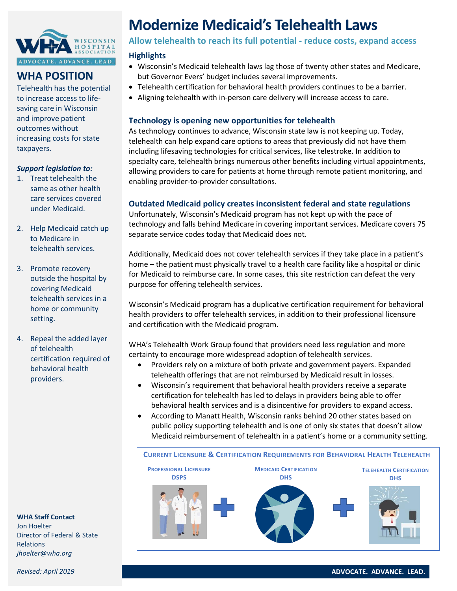

## **WHA POSITION**

Telehealth has the potential to increase access to lifesaving care in Wisconsin and improve patient outcomes without increasing costs for state taxpayers.

#### *Support legislation to:*

- 1. Treat telehealth the same as other health care services covered under Medicaid.
- 2. Help Medicaid catch up to Medicare in telehealth services.
- 3. Promote recovery outside the hospital by covering Medicaid telehealth services in a home or community setting.
- 4. Repeal the added layer of telehealth certification required of behavioral health providers.

**WHA Staff Contact**

Jon Hoelter Director of Federal & State Relations *jhoelter@wha.org*

# **Modernize Medicaid's Telehealth Laws**

**Allow telehealth to reach its full potential - reduce costs, expand access**

#### **Highlights**

- Wisconsin's Medicaid telehealth laws lag those of twenty other states and Medicare, but Governor Evers' budget includes several improvements.
- Telehealth certification for behavioral health providers continues to be a barrier.
- Aligning telehealth with in-person care delivery will increase access to care.

#### **Technology is opening new opportunities for telehealth**

As technology continues to advance, Wisconsin state law is not keeping up. Today, telehealth can help expand care options to areas that previously did not have them including lifesaving technologies for critical services, like telestroke. In addition to specialty care, telehealth brings numerous other benefits including virtual appointments, allowing providers to care for patients at home through remote patient monitoring, and enabling provider-to-provider consultations.

### **Outdated Medicaid policy creates inconsistent federal and state regulations**

Unfortunately, Wisconsin's Medicaid program has not kept up with the pace of technology and falls behind Medicare in covering important services. Medicare covers 75 separate service codes today that Medicaid does not.

Additionally, Medicaid does not cover telehealth services if they take place in a patient's home – the patient must physically travel to a health care facility like a hospital or clinic for Medicaid to reimburse care. In some cases, this site restriction can defeat the very purpose for offering telehealth services.

Wisconsin's Medicaid program has a duplicative certification requirement for behavioral health providers to offer telehealth services, in addition to their professional licensure and certification with the Medicaid program.

WHA's Telehealth Work Group found that providers need less regulation and more certainty to encourage more widespread adoption of telehealth services.

- Providers rely on a mixture of both private and government payers. Expanded telehealth offerings that are not reimbursed by Medicaid result in losses.
- Wisconsin's requirement that behavioral health providers receive a separate certification for telehealth has led to delays in providers being able to offer behavioral health services and is a disincentive for providers to expand access.
- According to Manatt Health, Wisconsin ranks behind 20 other states based on public policy supporting telehealth and is one of only six states that doesn't allow Medicaid reimbursement of telehealth in a patient's home or a community setting.



*Revised: April 2019*